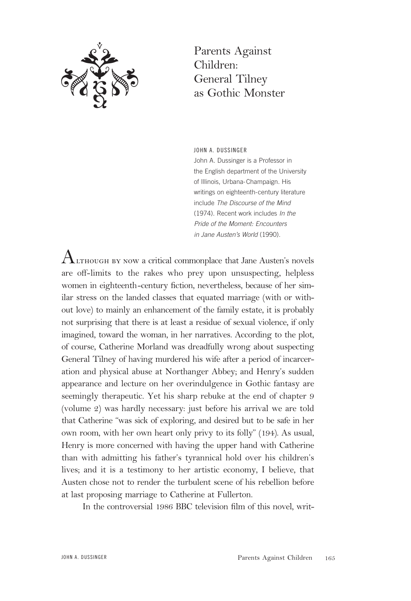

Parents Against Children: General Tilney as Gothic Monster

JOHN A. DUSSINGER John A. Dussinger is a Professor in the English department of the University of Illinois, Urbana-Champaign. His writings on eighteenth-century literature include The Discourse of the Mind (1974). Recent work includes In the Pride of the Moment: Encounters in Jane Austen's World (1990).

 ${\rm A}$ г.тноugh by now a critical commonplace that Jane Austen's novels are off-limits to the rakes who prey upon unsuspecting, helpless women in eighteenth-century fiction, nevertheless, because of her similar stress on the landed classes that equated marriage (with or without love) to mainly an enhancement of the family estate, it is probably not surprising that there is at least a residue of sexual violence, if only imagined, toward the woman, in her narratives. According to the plot, of course, Catherine Morland was dreadfully wrong about suspecting General Tilney of having murdered his wife after a period of incarceration and physical abuse at Northanger Abbey; and Henry's sudden appearance and lecture on her overindulgence in Gothic fantasy are seemingly therapeutic. Yet his sharp rebuke at the end of chapter 9 (volume 2) was hardly necessary: just before his arrival we are told that Catherine "was sick of exploring, and desired but to be safe in her own room, with her own heart only privy to its folly" (194). As usual, Henry is more concerned with having the upper hand with Catherine than with admitting his father's tyrannical hold over his children's lives; and it is a testimony to her artistic economy, I believe, that Austen chose not to render the turbulent scene of his rebellion before at last proposing marriage to Catherine at Fullerton.

In the controversial 1986 BBC television film of this novel, writ-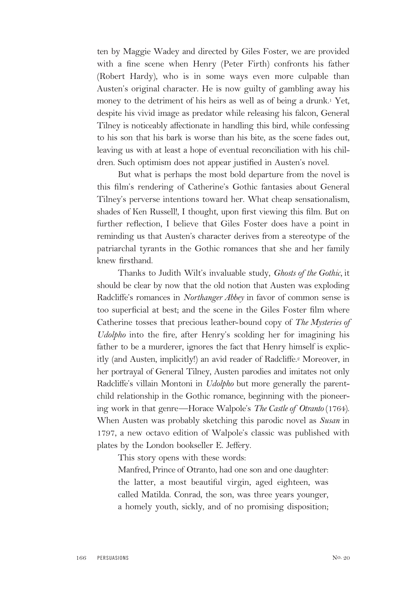ten by Maggie Wadey and directed by Giles Foster, we are provided with a fine scene when Henry (Peter Firth) confronts his father (Robert Hardy), who is in some ways even more culpable than Austen's original character. He is now guilty of gambling away his money to the detriment of his heirs as well as of being a drunk.<sup>1</sup> Yet, despite his vivid image as predator while releasing his falcon, General Tilney is noticeably affectionate in handling this bird, while confessing to his son that his bark is worse than his bite, as the scene fades out, leaving us with at least a hope of eventual reconciliation with his children. Such optimism does not appear justified in Austen's novel.

But what is perhaps the most bold departure from the novel is this film's rendering of Catherine's Gothic fantasies about General Tilney's perverse intentions toward her. What cheap sensationalism, shades of Ken Russell!, I thought, upon first viewing this film. But on further reflection, I believe that Giles Foster does have a point in reminding us that Austen's character derives from a stereotype of the patriarchal tyrants in the Gothic romances that she and her family knew firsthand.

Thanks to Judith Wilt's invaluable study, *Ghosts of the Gothic,* it should be clear by now that the old notion that Austen was exploding Radcliffe's romances in *Northanger Abbey* in favor of common sense is too superficial at best; and the scene in the Giles Foster film where Catherine tosses that precious leather-bound copy of *The Mysteries of Udolpho* into the fire, after Henry's scolding her for imagining his father to be a murderer, ignores the fact that Henry himself is explicitly (and Austen, implicitly!) an avid reader of Radcliffe.2 Moreover, in her portrayal of General Tilney, Austen parodies and imitates not only Radcliffe's villain Montoni in *Udolpho* but more generally the parentchild relationship in the Gothic romance, beginning with the pioneering work in that genre—Horace Walpole's *The Castle of Otranto* (1764). When Austen was probably sketching this parodic novel as *Susan* in 1797, a new octavo edition of Walpole's classic was published with plates by the London bookseller E. Jeffery.

This story opens with these words:

Manfred, Prince of Otranto, had one son and one daughter: the latter, a most beautiful virgin, aged eighteen, was called Matilda. Conrad, the son, was three years younger, a homely youth, sickly, and of no promising disposition;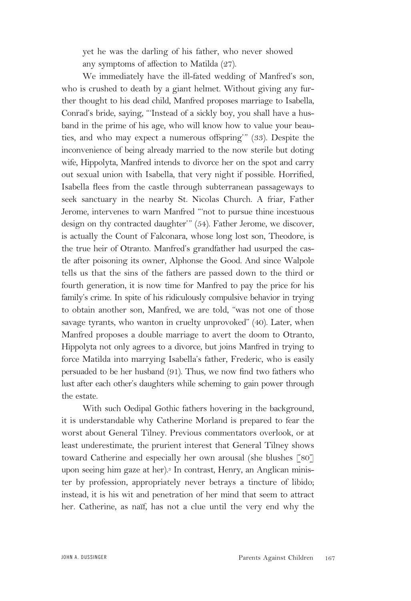yet he was the darling of his father, who never showed any symptoms of affection to Matilda (27).

We immediately have the ill-fated wedding of Manfred's son, who is crushed to death by a giant helmet. Without giving any further thought to his dead child, Manfred proposes marriage to Isabella, Conrad's bride, saying, "'Instead of a sickly boy, you shall have a husband in the prime of his age, who will know how to value your beauties, and who may expect a numerous offspring'" (33). Despite the inconvenience of being already married to the now sterile but doting wife, Hippolyta, Manfred intends to divorce her on the spot and carry out sexual union with Isabella, that very night if possible. Horrified, Isabella flees from the castle through subterranean passageways to seek sanctuary in the nearby St. Nicolas Church. A friar, Father Jerome, intervenes to warn Manfred "'not to pursue thine incestuous design on thy contracted daughter'" (54). Father Jerome, we discover, is actually the Count of Falconara, whose long lost son, Theodore, is the true heir of Otranto. Manfred's grandfather had usurped the castle after poisoning its owner, Alphonse the Good. And since Walpole tells us that the sins of the fathers are passed down to the third or fourth generation, it is now time for Manfred to pay the price for his family's crime. In spite of his ridiculously compulsive behavior in trying to obtain another son, Manfred, we are told, "was not one of those savage tyrants, who wanton in cruelty unprovoked" (40). Later, when Manfred proposes a double marriage to avert the doom to Otranto, Hippolyta not only agrees to a divorce, but joins Manfred in trying to force Matilda into marrying Isabella's father, Frederic, who is easily persuaded to be her husband (91). Thus, we now find two fathers who lust after each other's daughters while scheming to gain power through the estate.

With such Oedipal Gothic fathers hovering in the background, it is understandable why Catherine Morland is prepared to fear the worst about General Tilney. Previous commentators overlook, or at least underestimate, the prurient interest that General Tilney shows toward Catherine and especially her own arousal (she blushes [80] upon seeing him gaze at her).<sup>3</sup> In contrast, Henry, an Anglican minister by profession, appropriately never betrays a tincture of libido; instead, it is his wit and penetration of her mind that seem to attract her. Catherine, as naïf, has not a clue until the very end why the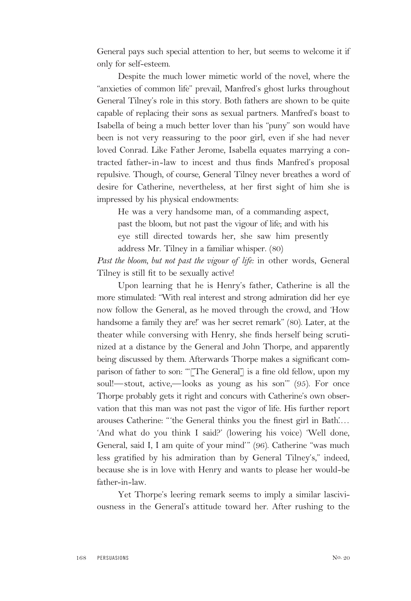General pays such special attention to her, but seems to welcome it if only for self-esteem.

Despite the much lower mimetic world of the novel, where the "anxieties of common life" prevail, Manfred's ghost lurks throughout General Tilney's role in this story. Both fathers are shown to be quite capable of replacing their sons as sexual partners. Manfred's boast to Isabella of being a much better lover than his "puny" son would have been is not very reassuring to the poor girl, even if she had never loved Conrad. Like Father Jerome, Isabella equates marrying a contracted father-in-law to incest and thus finds Manfred's proposal repulsive. Though, of course, General Tilney never breathes a word of desire for Catherine, nevertheless, at her first sight of him she is impressed by his physical endowments:

He was a very handsome man, of a commanding aspect, past the bloom, but not past the vigour of life; and with his eye still directed towards her, she saw him presently address Mr. Tilney in a familiar whisper. (80)

*Past the bloom, but not past the vigour of life:* in other words, General Tilney is still fit to be sexually active!

Upon learning that he is Henry's father, Catherine is all the more stimulated: "With real interest and strong admiration did her eye now follow the General, as he moved through the crowd, and 'How handsome a family they are!' was her secret remark" (80). Later, at the theater while conversing with Henry, she finds herself being scrutinized at a distance by the General and John Thorpe, and apparently being discussed by them. Afterwards Thorpe makes a significant comparison of father to son: "'[The General'] is a fine old fellow, upon my soul!—stout, active,—looks as young as his son'" (95). For once Thorpe probably gets it right and concurs with Catherine's own observation that this man was not past the vigor of life. His further report arouses Catherine: "'the General thinks you the finest girl in Bath'.… 'And what do you think I said?' (lowering his voice) 'Well done, General, said I, I am quite of your mind'" (96). Catherine "was much less gratified by his admiration than by General Tilney's," indeed, because she is in love with Henry and wants to please her would-be father-in-law.

Yet Thorpe's leering remark seems to imply a similar lasciviousness in the General's attitude toward her. After rushing to the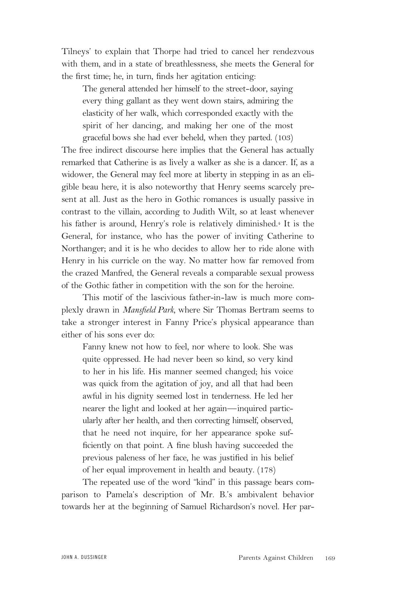Tilneys' to explain that Thorpe had tried to cancel her rendezvous with them, and in a state of breathlessness, she meets the General for the first time; he, in turn, finds her agitation enticing:

The general attended her himself to the street-door, saying every thing gallant as they went down stairs, admiring the elasticity of her walk, which corresponded exactly with the spirit of her dancing, and making her one of the most graceful bows she had ever beheld, when they parted. (103)

The free indirect discourse here implies that the General has actually remarked that Catherine is as lively a walker as she is a dancer. If, as a widower, the General may feel more at liberty in stepping in as an eligible beau here, it is also noteworthy that Henry seems scarcely present at all. Just as the hero in Gothic romances is usually passive in contrast to the villain, according to Judith Wilt, so at least whenever his father is around, Henry's role is relatively diminished.4 It is the General, for instance, who has the power of inviting Catherine to Northanger; and it is he who decides to allow her to ride alone with Henry in his curricle on the way. No matter how far removed from the crazed Manfred, the General reveals a comparable sexual prowess of the Gothic father in competition with the son for the heroine.

This motif of the lascivious father-in-law is much more complexly drawn in *Mansfield Park,* where Sir Thomas Bertram seems to take a stronger interest in Fanny Price's physical appearance than either of his sons ever do:

Fanny knew not how to feel, nor where to look. She was quite oppressed. He had never been so kind, so very kind to her in his life. His manner seemed changed; his voice was quick from the agitation of joy, and all that had been awful in his dignity seemed lost in tenderness. He led her nearer the light and looked at her again—inquired particularly after her health, and then correcting himself, observed, that he need not inquire, for her appearance spoke sufficiently on that point. A fine blush having succeeded the previous paleness of her face, he was justified in his belief of her equal improvement in health and beauty. (178)

The repeated use of the word "kind" in this passage bears comparison to Pamela's description of Mr. B.'s ambivalent behavior towards her at the beginning of Samuel Richardson's novel. Her par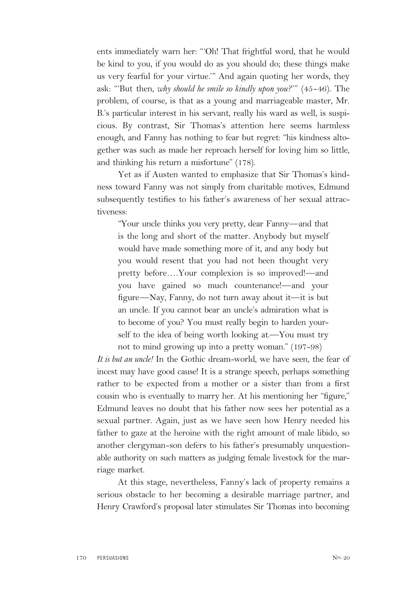ents immediately warn her: "'Oh! That frightful word, that he would be kind to you, if you would do as you should do; these things make us very fearful for your virtue.'" And again quoting her words, they ask: "'But then, *why should he smile so kindly upon you?*'" (45-46). The problem, of course, is that as a young and marriageable master, Mr. B.'s particular interest in his servant, really his ward as well, is suspicious. By contrast, Sir Thomas's attention here seems harmless enough, and Fanny has nothing to fear but regret: "his kindness altogether was such as made her reproach herself for loving him so little, and thinking his return a misfortune" (178).

Yet as if Austen wanted to emphasize that Sir Thomas's kindness toward Fanny was not simply from charitable motives, Edmund subsequently testifies to his father's awareness of her sexual attractiveness:

"Your uncle thinks you very pretty, dear Fanny—and that is the long and short of the matter. Anybody but myself would have made something more of it, and any body but you would resent that you had not been thought very pretty before….Your complexion is so improved!—and you have gained so much countenance!—and your figure—Nay, Fanny, do not turn away about it—it is but an uncle. If you cannot bear an uncle's admiration what is to become of you? You must really begin to harden yourself to the idea of being worth looking at.—You must try not to mind growing up into a pretty woman." (197-98)

*It is but an uncle!* In the Gothic dream-world, we have seen, the fear of incest may have good cause! It is a strange speech, perhaps something rather to be expected from a mother or a sister than from a first cousin who is eventually to marry her. At his mentioning her "figure," Edmund leaves no doubt that his father now sees her potential as a sexual partner. Again, just as we have seen how Henry needed his father to gaze at the heroine with the right amount of male libido, so another clergyman-son defers to his father's presumably unquestionable authority on such matters as judging female livestock for the marriage market.

At this stage, nevertheless, Fanny's lack of property remains a serious obstacle to her becoming a desirable marriage partner, and Henry Crawford's proposal later stimulates Sir Thomas into becoming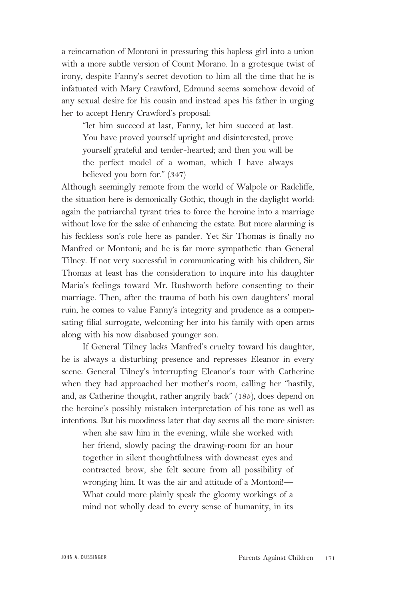a reincarnation of Montoni in pressuring this hapless girl into a union with a more subtle version of Count Morano. In a grotesque twist of irony, despite Fanny's secret devotion to him all the time that he is infatuated with Mary Crawford, Edmund seems somehow devoid of any sexual desire for his cousin and instead apes his father in urging her to accept Henry Crawford's proposal:

"let him succeed at last, Fanny, let him succeed at last. You have proved yourself upright and disinterested, prove yourself grateful and tender-hearted; and then you will be the perfect model of a woman, which I have always believed you born for." (347)

Although seemingly remote from the world of Walpole or Radcliffe, the situation here is demonically Gothic, though in the daylight world: again the patriarchal tyrant tries to force the heroine into a marriage without love for the sake of enhancing the estate. But more alarming is his feckless son's role here as pander. Yet Sir Thomas is finally no Manfred or Montoni; and he is far more sympathetic than General Tilney. If not very successful in communicating with his children, Sir Thomas at least has the consideration to inquire into his daughter Maria's feelings toward Mr. Rushworth before consenting to their marriage. Then, after the trauma of both his own daughters' moral ruin, he comes to value Fanny's integrity and prudence as a compensating filial surrogate, welcoming her into his family with open arms along with his now disabused younger son.

If General Tilney lacks Manfred's cruelty toward his daughter, he is always a disturbing presence and represses Eleanor in every scene. General Tilney's interrupting Eleanor's tour with Catherine when they had approached her mother's room, calling her "hastily, and, as Catherine thought, rather angrily back" (185), does depend on the heroine's possibly mistaken interpretation of his tone as well as intentions. But his moodiness later that day seems all the more sinister:

when she saw him in the evening, while she worked with her friend, slowly pacing the drawing-room for an hour together in silent thoughtfulness with downcast eyes and contracted brow, she felt secure from all possibility of wronging him. It was the air and attitude of a Montoni!— What could more plainly speak the gloomy workings of a mind not wholly dead to every sense of humanity, in its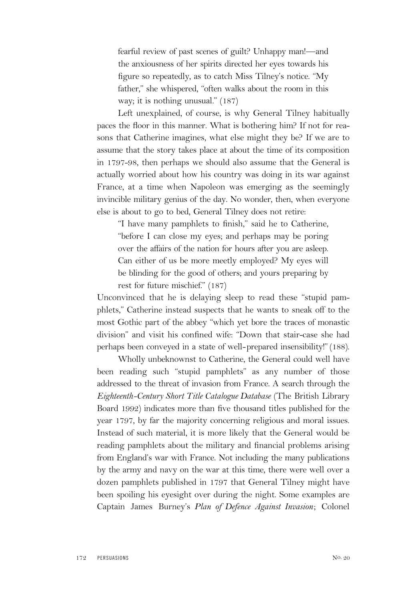fearful review of past scenes of guilt? Unhappy man!—and the anxiousness of her spirits directed her eyes towards his figure so repeatedly, as to catch Miss Tilney's notice. "My father," she whispered, "often walks about the room in this way; it is nothing unusual." (187)

Left unexplained, of course, is why General Tilney habitually paces the floor in this manner. What is bothering him? If not for reasons that Catherine imagines, what else might they be? If we are to assume that the story takes place at about the time of its composition in 1797-98, then perhaps we should also assume that the General is actually worried about how his country was doing in its war against France, at a time when Napoleon was emerging as the seemingly invincible military genius of the day. No wonder, then, when everyone else is about to go to bed, General Tilney does not retire:

"I have many pamphlets to finish," said he to Catherine, "before I can close my eyes; and perhaps may be poring over the affairs of the nation for hours after you are asleep. Can either of us be more meetly employed? My eyes will be blinding for the good of others; and yours preparing by rest for future mischief." (187)

Unconvinced that he is delaying sleep to read these "stupid pamphlets," Catherine instead suspects that he wants to sneak off to the most Gothic part of the abbey "which yet bore the traces of monastic division" and visit his confined wife: "Down that stair-case she had perhaps been conveyed in a state of well-prepared insensibility!" (188).

Wholly unbeknownst to Catherine, the General could well have been reading such "stupid pamphlets" as any number of those addressed to the threat of invasion from France. A search through the *Eighteenth-Century Short Title Catalogue Database* (The British Library Board 1992) indicates more than five thousand titles published for the year 1797, by far the majority concerning religious and moral issues. Instead of such material, it is more likely that the General would be reading pamphlets about the military and financial problems arising from England's war with France. Not including the many publications by the army and navy on the war at this time, there were well over a dozen pamphlets published in 1797 that General Tilney might have been spoiling his eyesight over during the night. Some examples are Captain James Burney's *Plan of Defence Against Invasion*; Colonel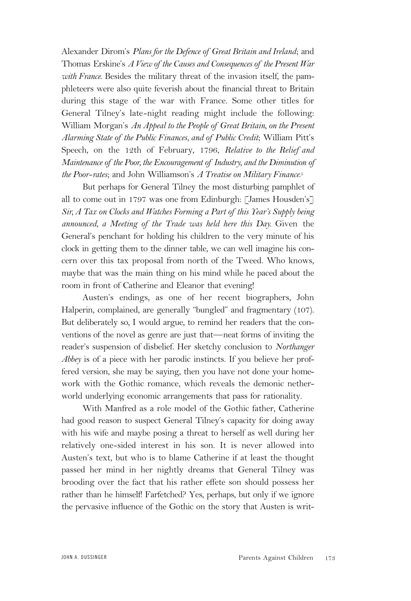Alexander Dirom's *Plans for the Defence of Great Britain and Ireland*; and Thomas Erskine's *A View of the Causes and Consequences of the Present War with France.* Besides the military threat of the invasion itself, the pamphleteers were also quite feverish about the financial threat to Britain during this stage of the war with France. Some other titles for General Tilney's late-night reading might include the following: William Morgan's *An Appeal to the People of Great Britain, on the Present Alarming State of the Public Finances, and of Public Credit*; William Pitt's Speech, on the 12th of February, 1796, *Relative to the Relief and Maintenance of the Poor, the Encouragement of Industry, and the Diminution of the Poor-rates*; and John Williamson's *A Treatise on Military Finance.*<sup>5</sup>

But perhaps for General Tilney the most disturbing pamphlet of all to come out in 1797 was one from Edinburgh: [James Housden's] *Sir, A Tax on Clocks and Watches Forming a Part of this Year's Supply being announced, a Meeting of the Trade was held here this Day.* Given the General's penchant for holding his children to the very minute of his clock in getting them to the dinner table, we can well imagine his concern over this tax proposal from north of the Tweed. Who knows, maybe that was the main thing on his mind while he paced about the room in front of Catherine and Eleanor that evening!

Austen's endings, as one of her recent biographers, John Halperin, complained, are generally "bungled" and fragmentary (107). But deliberately so, I would argue, to remind her readers that the conventions of the novel as genre are just that—neat forms of inviting the reader's suspension of disbelief. Her sketchy conclusion to *Northanger Abbey* is of a piece with her parodic instincts. If you believe her proffered version, she may be saying, then you have not done your homework with the Gothic romance, which reveals the demonic netherworld underlying economic arrangements that pass for rationality.

With Manfred as a role model of the Gothic father, Catherine had good reason to suspect General Tilney's capacity for doing away with his wife and maybe posing a threat to herself as well during her relatively one-sided interest in his son. It is never allowed into Austen's text, but who is to blame Catherine if at least the thought passed her mind in her nightly dreams that General Tilney was brooding over the fact that his rather effete son should possess her rather than he himself! Farfetched? Yes, perhaps, but only if we ignore the pervasive influence of the Gothic on the story that Austen is writ